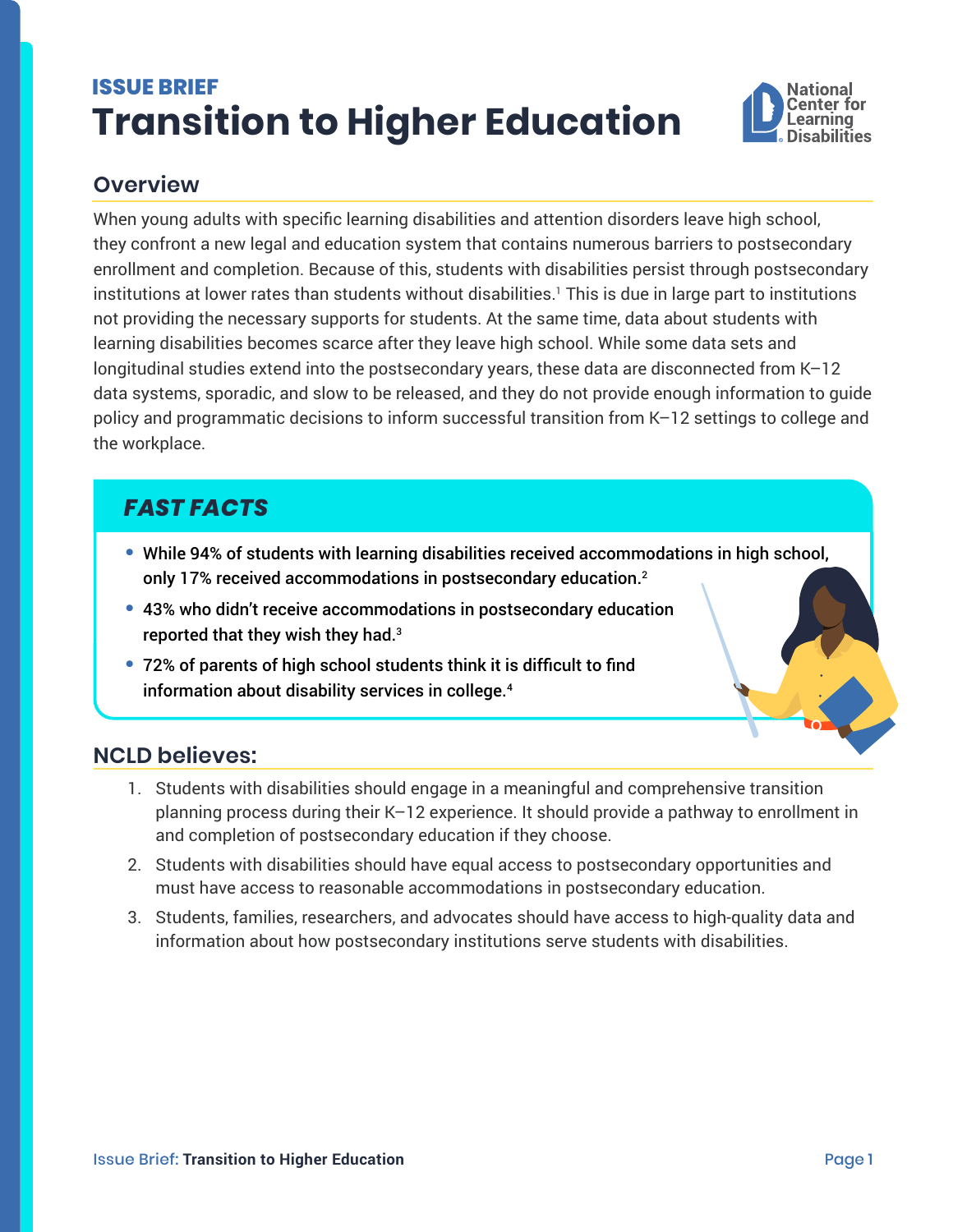# <span id="page-0-0"></span>**ISSUE BRIEF Transition to Higher Education**



## **Overview**

When young adults with specific learning disabilities and attention disorders leave high school, they confront a new legal and education system that contains numerous barriers to postsecondary enrollment and completion. Because of this, students with disabilities persist through postsecondary institutions at lower rates than students without disabilities.[1](#page-1-0) This is due in large part to institutions not providing the necessary supports for students. At the same time, data about students with learning disabilities becomes scarce after they leave high school. While some data sets and longitudinal studies extend into the postsecondary years, these data are disconnected from K–12 data systems, sporadic, and slow to be released, and they do not provide enough information to guide policy and programmatic decisions to inform successful transition from K–12 settings to college and the workplace.

## *FAST FACTS*

- **•** While 94% of students with learning disabilities received accommodations in high school, only 17% received accommodations in postsecondary education.[2](#page-1-0)
- **•** 43% who didn't receive accommodations in postsecondary education reported that they wish they had.[3](#page-1-0)
- **•** 72% of parents of high school students think it is difficult to find information about disability services in college.[4](#page-1-0)

### **NCLD believes:**

- 1. Students with disabilities should engage in a meaningful and comprehensive transition planning process during their K–12 experience. It should provide a pathway to enrollment in and completion of postsecondary education if they choose.
- 2. Students with disabilities should have equal access to postsecondary opportunities and must have access to reasonable accommodations in postsecondary education.
- 3. Students, families, researchers, and advocates should have access to high-quality data and information about how postsecondary institutions serve students with disabilities.